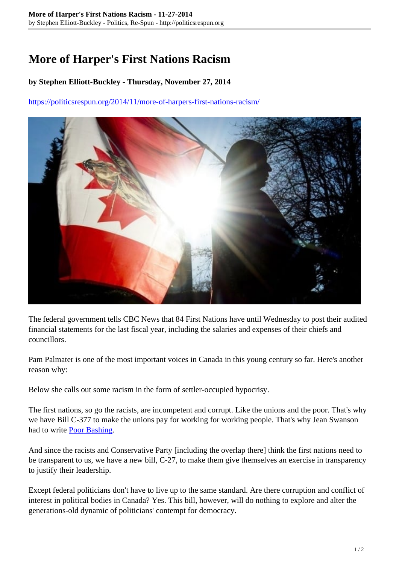## **More of Harper's First Nations Racism**

## **by Stephen Elliott-Buckley - Thursday, November 27, 2014**

<https://politicsrespun.org/2014/11/more-of-harpers-first-nations-racism/>



The federal government tells CBC News that 84 First Nations have until Wednesday to post their audited financial statements for the last fiscal year, including the salaries and expenses of their chiefs and councillors.

Pam Palmater is one of the most important voices in Canada in this young century so far. Here's another reason why:

Below she calls out some racism in the form of settler-occupied hypocrisy.

The first nations, so go the racists, are incompetent and corrupt. Like the unions and the poor. That's why we have Bill C-377 to make the unions pay for working for working people. That's why Jean Swanson had to write [Poor Bashing.](http://www.buynothingchristmas.org/questions/index.html)

And since the racists and Conservative Party [including the overlap there] think the first nations need to be transparent to us, we have a new bill, C-27, to make them give themselves an exercise in transparency to justify their leadership.

Except federal politicians don't have to live up to the same standard. Are there corruption and conflict of interest in political bodies in Canada? Yes. This bill, however, will do nothing to explore and alter the generations-old dynamic of politicians' contempt for democracy.